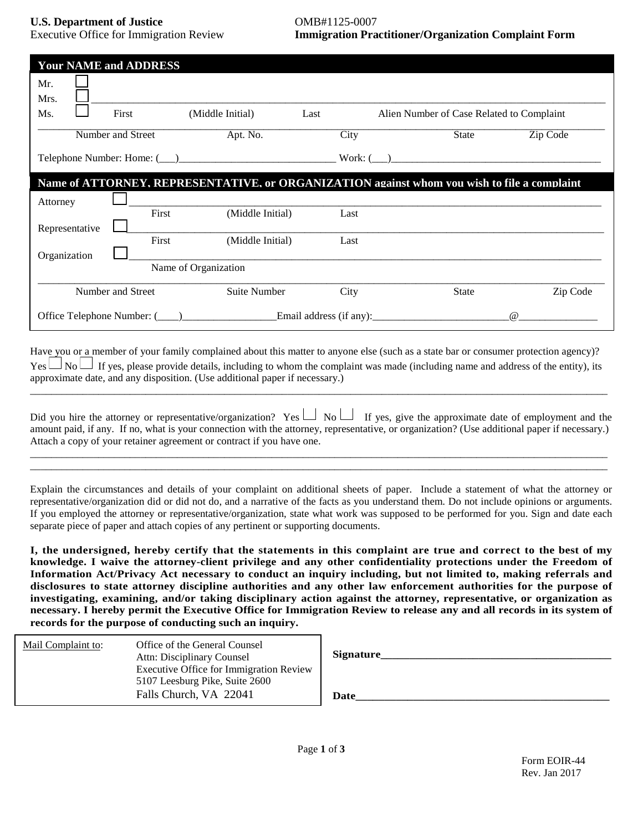**U.S. Department of Justice** OMB#1125-0007

Executive Office for Immigration Review **Immigration Practitioner/Organization Complaint Form**

| <b>Your NAME and ADDRESS</b>                                                                |                   |                      |      |                                           |          |  |
|---------------------------------------------------------------------------------------------|-------------------|----------------------|------|-------------------------------------------|----------|--|
| Mr.<br>Mrs.                                                                                 |                   |                      |      |                                           |          |  |
| Ms.                                                                                         | First             | (Middle Initial)     | Last | Alien Number of Case Related to Complaint |          |  |
|                                                                                             | Number and Street | Apt. No.             | City | <b>State</b>                              | Zip Code |  |
| Work: (                                                                                     |                   |                      |      |                                           |          |  |
| Name of ATTORNEY. REPRESENTATIVE. or ORGANIZATION against whom you wish to file a complaint |                   |                      |      |                                           |          |  |
| Attorney                                                                                    |                   |                      |      |                                           |          |  |
| Representative                                                                              | First             | (Middle Initial)     | Last |                                           |          |  |
|                                                                                             | First             | (Middle Initial)     | Last |                                           |          |  |
| Organization                                                                                |                   | Name of Organization |      |                                           |          |  |
| Number and Street                                                                           |                   | Suite Number         | City | <b>State</b>                              | Zip Code |  |
|                                                                                             |                   |                      |      |                                           | $\omega$ |  |

Have you or a member of your family complained about this matter to anyone else (such as a state bar or consumer protection agency)?  $Yes \Box$  No  $\Box$  If yes, please provide details, including to whom the complaint was made (including name and address of the entity), its approximate date, and any disposition. (Use additional paper if necessary.) \_\_\_\_\_\_\_\_\_\_\_\_\_\_\_\_\_\_\_\_\_\_\_\_\_\_\_\_\_\_\_\_\_\_\_\_\_\_\_\_\_\_\_\_\_\_\_\_\_\_\_\_\_\_\_\_\_\_\_\_\_\_\_\_\_\_\_\_\_\_\_\_\_\_\_\_\_\_\_\_\_\_\_\_\_\_\_\_\_\_\_\_\_\_\_\_\_\_\_\_\_\_\_\_\_\_\_\_\_\_

|                                                                       | Did you hire the attorney or representative/organization? Yes $\Box$ No $\Box$ If yes, give the approximate date of employment and the       |
|-----------------------------------------------------------------------|----------------------------------------------------------------------------------------------------------------------------------------------|
|                                                                       | amount paid, if any. If no, what is your connection with the attorney, representative, or organization? (Use additional paper if necessary.) |
| Attach a copy of your retainer agreement or contract if you have one. |                                                                                                                                              |

\_\_\_\_\_\_\_\_\_\_\_\_\_\_\_\_\_\_\_\_\_\_\_\_\_\_\_\_\_\_\_\_\_\_\_\_\_\_\_\_\_\_\_\_\_\_\_\_\_\_\_\_\_\_\_\_\_\_\_\_\_\_\_\_\_\_\_\_\_\_\_\_\_\_\_\_\_\_\_\_\_\_\_\_\_\_\_\_\_\_\_\_\_\_\_\_\_\_\_\_\_\_\_\_\_\_\_\_\_\_ \_\_\_\_\_\_\_\_\_\_\_\_\_\_\_\_\_\_\_\_\_\_\_\_\_\_\_\_\_\_\_\_\_\_\_\_\_\_\_\_\_\_\_\_\_\_\_\_\_\_\_\_\_\_\_\_\_\_\_\_\_\_\_\_\_\_\_\_\_\_\_\_\_\_\_\_\_\_\_\_\_\_\_\_\_\_\_\_\_\_\_\_\_\_\_\_\_\_\_\_\_\_\_\_\_\_\_\_\_\_

Explain the circumstances and details of your complaint on additional sheets of paper. Include a statement of what the attorney or representative/organization did or did not do, and a narrative of the facts as you understand them. Do not include opinions or arguments. If you employed the attorney or representative/organization, state what work was supposed to be performed for you. Sign and date each separate piece of paper and attach copies of any pertinent or supporting documents.

**I, the undersigned, hereby certify that the statements in this complaint are true and correct to the best of my knowledge. I waive the attorney-client privilege and any other confidentiality protections under the Freedom of Information Act/Privacy Act necessary to conduct an inquiry including, but not limited to, making referrals and disclosures to state attorney discipline authorities and any other law enforcement authorities for the purpose of investigating, examining, and/or taking disciplinary action against the attorney, representative, or organization as necessary. I hereby permit the Executive Office for Immigration Review to release any and all records in its system of records for the purpose of conducting such an inquiry.**

| Mail Complaint to: | Office of the General Counsel<br>Attn: Disciplinary Counsel<br><b>Executive Office for Immigration Review</b> | Signature |
|--------------------|---------------------------------------------------------------------------------------------------------------|-----------|
|                    | 5107 Leesburg Pike, Suite 2600<br>Falls Church, VA 22041                                                      | Date      |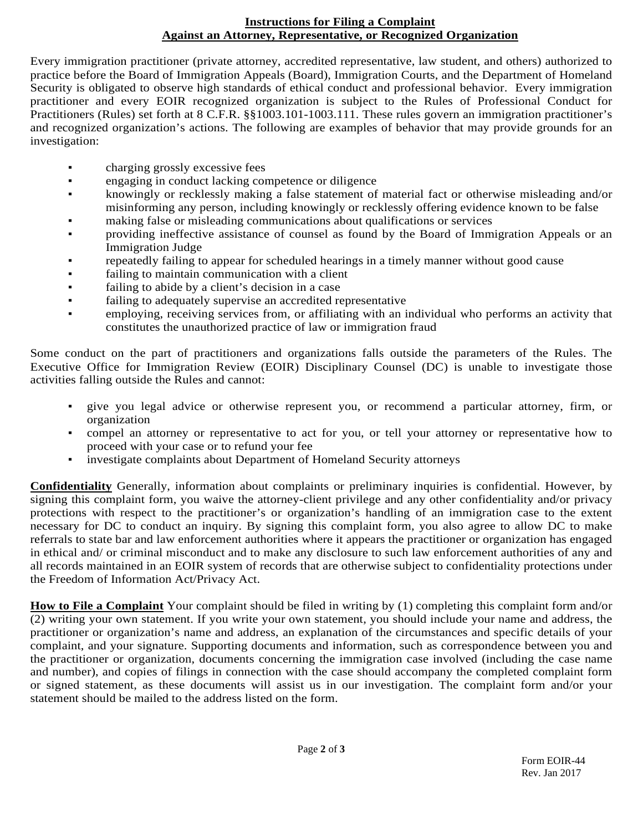## **Instructions for Filing a Complaint Against an Attorney, Representative, or Recognized Organization**

Every immigration practitioner (private attorney, accredited representative, law student, and others) authorized to practice before the Board of Immigration Appeals (Board), Immigration Courts, and the Department of Homeland Security is obligated to observe high standards of ethical conduct and professional behavior. Every immigration practitioner and every EOIR recognized organization is subject to the Rules of Professional Conduct for Practitioners (Rules) set forth at 8 C.F.R. §§1003.101-1003.111. These rules govern an immigration practitioner's and recognized organization's actions. The following are examples of behavior that may provide grounds for an investigation:

- charging grossly excessive fees
- **•** engaging in conduct lacking competence or diligence
- knowingly or recklessly making a false statement of material fact or otherwise misleading and/or misinforming any person, including knowingly or recklessly offering evidence known to be false
- making false or misleading communications about qualifications or services
- providing ineffective assistance of counsel as found by the Board of Immigration Appeals or an Immigration Judge
- repeatedly failing to appear for scheduled hearings in a timely manner without good cause
- failing to maintain communication with a client
- failing to abide by a client's decision in a case
- failing to adequately supervise an accredited representative
- employing, receiving services from, or affiliating with an individual who performs an activity that constitutes the unauthorized practice of law or immigration fraud

Some conduct on the part of practitioners and organizations falls outside the parameters of the Rules. The Executive Office for Immigration Review (EOIR) Disciplinary Counsel (DC) is unable to investigate those activities falling outside the Rules and cannot:

- give you legal advice or otherwise represent you, or recommend a particular attorney, firm, or organization
- compel an attorney or representative to act for you, or tell your attorney or representative how to proceed with your case or to refund your fee
- investigate complaints about Department of Homeland Security attorneys

**Confidentiality** Generally, information about complaints or preliminary inquiries is confidential. However, by signing this complaint form, you waive the attorney-client privilege and any other confidentiality and/or privacy protections with respect to the practitioner's or organization's handling of an immigration case to the extent necessary for DC to conduct an inquiry. By signing this complaint form, you also agree to allow DC to make referrals to state bar and law enforcement authorities where it appears the practitioner or organization has engaged in ethical and/ or criminal misconduct and to make any disclosure to such law enforcement authorities of any and all records maintained in an EOIR system of records that are otherwise subject to confidentiality protections under the Freedom of Information Act/Privacy Act.

**How to File a Complaint** Your complaint should be filed in writing by (1) completing this complaint form and/or (2) writing your own statement. If you write your own statement, you should include your name and address, the practitioner or organization's name and address, an explanation of the circumstances and specific details of your complaint, and your signature. Supporting documents and information, such as correspondence between you and the practitioner or organization, documents concerning the immigration case involved (including the case name and number), and copies of filings in connection with the case should accompany the completed complaint form or signed statement, as these documents will assist us in our investigation. The complaint form and/or your statement should be mailed to the address listed on the form.